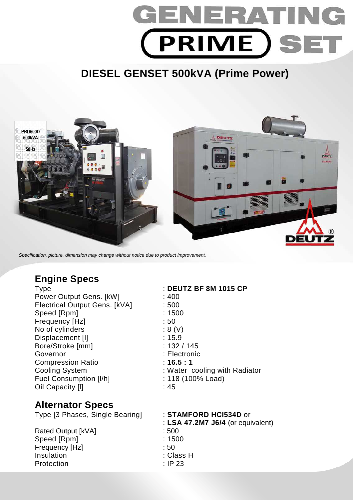# GENERAT (PRIME)SET

# **DIESEL GENSET 500kVA (Prime Power)**



Specification, picture, dimension may change without notice due to product improvement.

## **Engine Specs**

Type : **DEUTZ BF 8M 1015 CP**  Power Output Gens. [kW] : 400 Electrical Output Gens. [kVA] : 500 Speed [Rpm] : 1500 Frequency [Hz]  $\qquad \qquad$  : 50 No of cylinders : 8 (V) Displacement [I] 2008 2014 2015 2016 2017 2022 2023 2024 2022 2023 2024 2022 2023 2024 2022 2023 2024 2025 2026 2027 2028 2029 2022 2023 2024 2022 2023 2024 2025 2027 2028 2029 2023 2024 2027 2028 2029 2023 2024 2025 2027 Bore/Stroke [mm] : 132 / 145 Governor : Electronic Compression Ratio : **16.5 : 1**  Fuel Consumption [I/h] : 118 (100% Load) Oil Capacity III in the case of the case of the case of the case of the case of the case of the case of the case of the case of the case of the case of the case of the case of the case of the case of the case of the case o

# Cooling System : Water cooling with Radiator

### **Alternator Specs**

Type [3 Phases, Single Bearing] : **STAMFORD HCI534D** or : **LSA 47.2M7 J6/4** (or equivalent) Rated Output [kVA] : 500 Speed [Rpm] : 1500 Frequency [Hz] : 50 Insulation : Class H Protection : IP 23